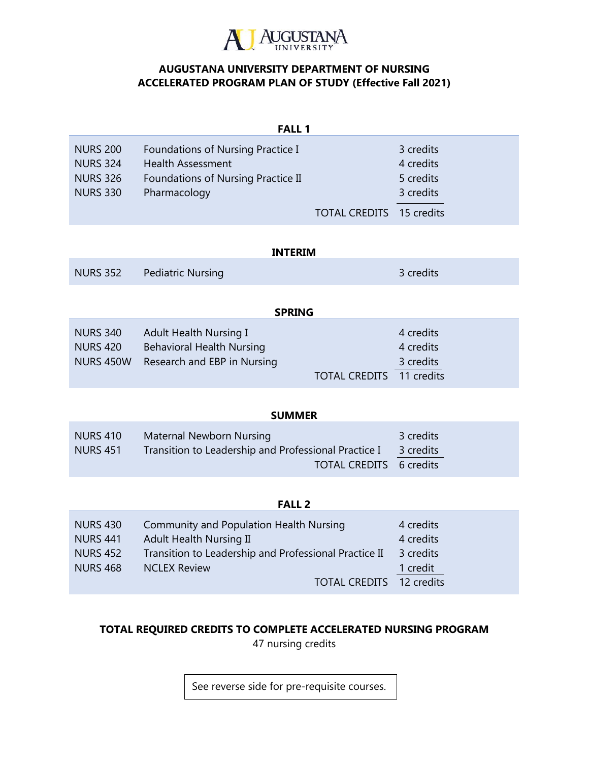

## **AUGUSTANA UNIVERSITY DEPARTMENT OF NURSING ACCELERATED PROGRAM PLAN OF STUDY (Effective Fall 2021)**

| <b>FALL 1</b>   |                                    |                                 |           |  |  |
|-----------------|------------------------------------|---------------------------------|-----------|--|--|
| <b>NURS 200</b> | Foundations of Nursing Practice I  |                                 | 3 credits |  |  |
| <b>NURS 324</b> | <b>Health Assessment</b>           |                                 | 4 credits |  |  |
| <b>NURS 326</b> | Foundations of Nursing Practice II |                                 | 5 credits |  |  |
| <b>NURS 330</b> | Pharmacology                       |                                 | 3 credits |  |  |
|                 |                                    | <b>TOTAL CREDITS</b> 15 credits |           |  |  |

| <b>INTERIM</b>   |                                  |               |  |  |
|------------------|----------------------------------|---------------|--|--|
| <b>NURS 352</b>  | <b>Pediatric Nursing</b>         | 3 credits     |  |  |
|                  |                                  | <b>SPRING</b> |  |  |
|                  |                                  |               |  |  |
| <b>NURS 340</b>  | Adult Health Nursing I           | 4 credits     |  |  |
| <b>NURS 420</b>  | <b>Behavioral Health Nursing</b> | 4 credits     |  |  |
| <b>NURS 450W</b> | Research and EBP in Nursing      | 3 credits     |  |  |

| <b>SUMMER</b>                      |                                                                                                             |                        |  |  |
|------------------------------------|-------------------------------------------------------------------------------------------------------------|------------------------|--|--|
| <b>NURS 410</b><br><b>NURS 451</b> | Maternal Newborn Nursing<br>Transition to Leadership and Professional Practice I<br>TOTAL CREDITS 6 credits | 3 credits<br>3 credits |  |  |

TOTAL CREDITS 11 credits

## **FALL 2**

| <b>NURS 430</b> | Community and Population Health Nursing               | 4 credits |
|-----------------|-------------------------------------------------------|-----------|
| <b>NURS 441</b> | Adult Health Nursing II                               | 4 credits |
| <b>NURS 452</b> | Transition to Leadership and Professional Practice II | 3 credits |
| <b>NURS 468</b> | <b>NCLEX Review</b>                                   | 1 credit  |
|                 | TOTAL CREDITS 12 credits                              |           |

## **TOTAL REQUIRED CREDITS TO COMPLETE ACCELERATED NURSING PROGRAM**

47 nursing credits

See reverse side for pre-requisite courses.